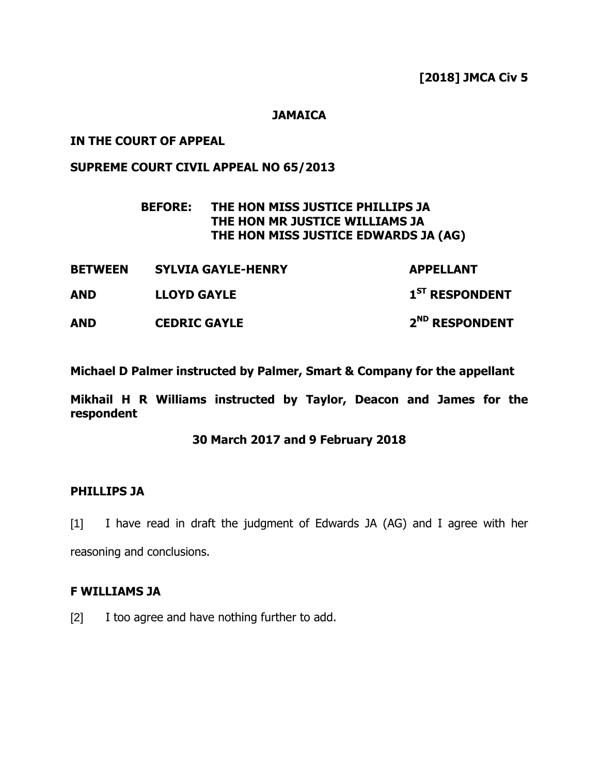### **JAMAICA**

## **IN THE COURT OF APPEAL**

# **SUPREME COURT CIVIL APPEAL NO 65/2013**

# **BEFORE: THE HON MISS JUSTICE PHILLIPS JA THE HON MR JUSTICE WILLIAMS JA THE HON MISS JUSTICE EDWARDS JA (AG)**

| <b>BETWEEN</b> | <b>SYLVIA GAYLE-HENRY</b> | <b>APPELLANT</b>           |
|----------------|---------------------------|----------------------------|
| AND            | <b>LLOYD GAYLE</b>        | 1 <sup>ST</sup> RESPONDENT |
| <b>AND</b>     | <b>CEDRIC GAYLE</b>       | 2 <sup>ND</sup> RESPONDENT |

**Michael D Palmer instructed by Palmer, Smart & Company for the appellant**

**Mikhail H R Williams instructed by Taylor, Deacon and James for the respondent**

### **30 March 2017 and 9 February 2018**

### **PHILLIPS JA**

[1] I have read in draft the judgment of Edwards JA (AG) and I agree with her reasoning and conclusions.

### **F WILLIAMS JA**

[2] I too agree and have nothing further to add.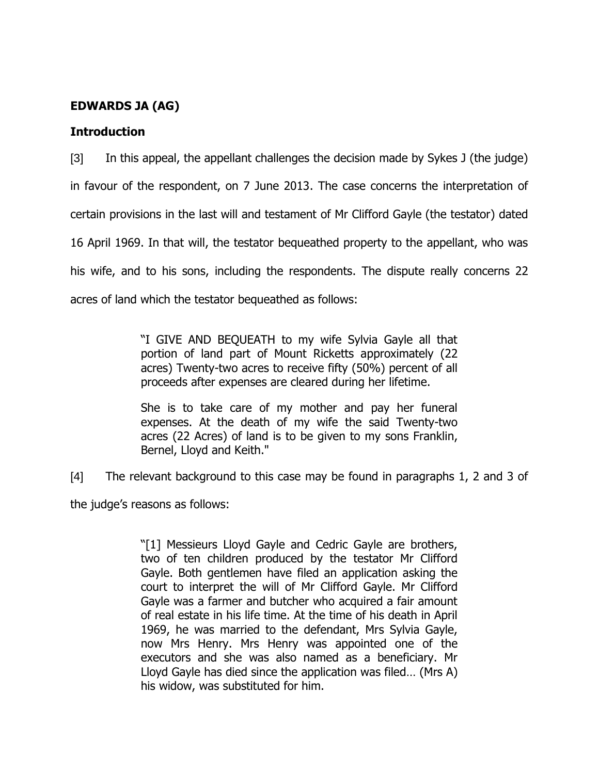# **EDWARDS JA (AG)**

## **Introduction**

[3] In this appeal, the appellant challenges the decision made by Sykes J (the judge) in favour of the respondent, on 7 June 2013. The case concerns the interpretation of certain provisions in the last will and testament of Mr Clifford Gayle (the testator) dated 16 April 1969. In that will, the testator bequeathed property to the appellant, who was his wife, and to his sons, including the respondents. The dispute really concerns 22 acres of land which the testator bequeathed as follows:

> "I GIVE AND BEQUEATH to my wife Sylvia Gayle all that portion of land part of Mount Ricketts approximately (22 acres) Twenty-two acres to receive fifty (50%) percent of all proceeds after expenses are cleared during her lifetime.

> She is to take care of my mother and pay her funeral expenses. At the death of my wife the said Twenty-two acres (22 Acres) of land is to be given to my sons Franklin, Bernel, Lloyd and Keith."

[4] The relevant background to this case may be found in paragraphs 1, 2 and 3 of

the judge"s reasons as follows:

"[1] Messieurs Lloyd Gayle and Cedric Gayle are brothers, two of ten children produced by the testator Mr Clifford Gayle. Both gentlemen have filed an application asking the court to interpret the will of Mr Clifford Gayle. Mr Clifford Gayle was a farmer and butcher who acquired a fair amount of real estate in his life time. At the time of his death in April 1969, he was married to the defendant, Mrs Sylvia Gayle, now Mrs Henry. Mrs Henry was appointed one of the executors and she was also named as a beneficiary. Mr Lloyd Gayle has died since the application was filed… (Mrs A) his widow, was substituted for him.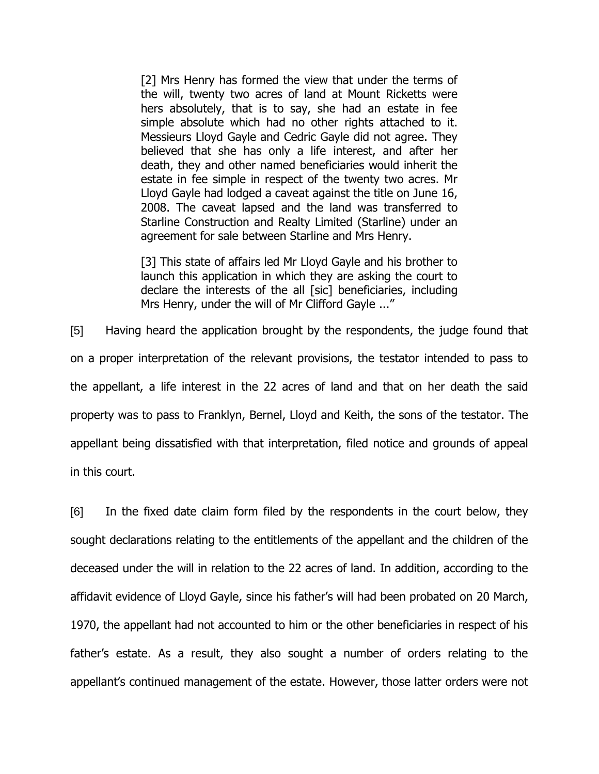[2] Mrs Henry has formed the view that under the terms of the will, twenty two acres of land at Mount Ricketts were hers absolutely, that is to say, she had an estate in fee simple absolute which had no other rights attached to it. Messieurs Lloyd Gayle and Cedric Gayle did not agree. They believed that she has only a life interest, and after her death, they and other named beneficiaries would inherit the estate in fee simple in respect of the twenty two acres. Mr Lloyd Gayle had lodged a caveat against the title on June 16, 2008. The caveat lapsed and the land was transferred to Starline Construction and Realty Limited (Starline) under an agreement for sale between Starline and Mrs Henry.

[3] This state of affairs led Mr Lloyd Gayle and his brother to launch this application in which they are asking the court to declare the interests of the all [sic] beneficiaries, including Mrs Henry, under the will of Mr Clifford Gayle ..."

[5] Having heard the application brought by the respondents, the judge found that on a proper interpretation of the relevant provisions, the testator intended to pass to the appellant, a life interest in the 22 acres of land and that on her death the said property was to pass to Franklyn, Bernel, Lloyd and Keith, the sons of the testator. The appellant being dissatisfied with that interpretation, filed notice and grounds of appeal in this court.

[6] In the fixed date claim form filed by the respondents in the court below, they sought declarations relating to the entitlements of the appellant and the children of the deceased under the will in relation to the 22 acres of land. In addition, according to the affidavit evidence of Lloyd Gayle, since his father"s will had been probated on 20 March, 1970, the appellant had not accounted to him or the other beneficiaries in respect of his father"s estate. As a result, they also sought a number of orders relating to the appellant's continued management of the estate. However, those latter orders were not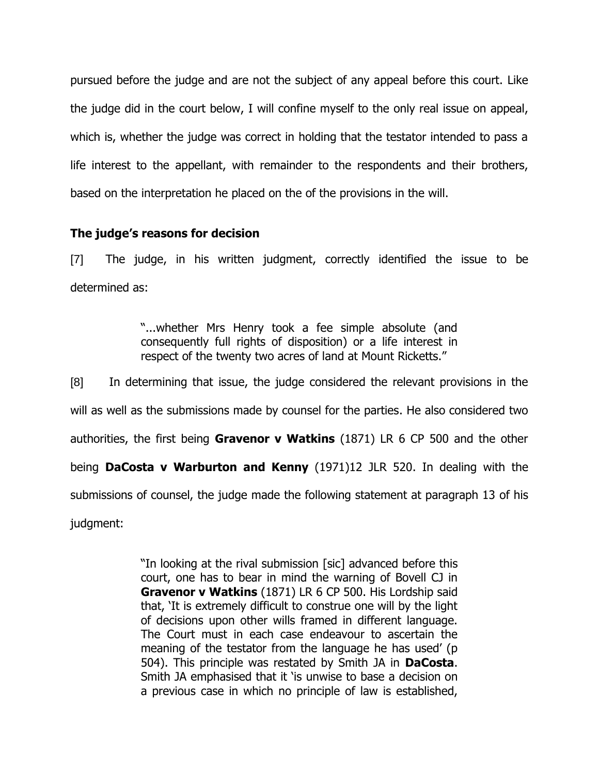pursued before the judge and are not the subject of any appeal before this court. Like the judge did in the court below, I will confine myself to the only real issue on appeal, which is, whether the judge was correct in holding that the testator intended to pass a life interest to the appellant, with remainder to the respondents and their brothers, based on the interpretation he placed on the of the provisions in the will.

## **The judge's reasons for decision**

[7] The judge, in his written judgment, correctly identified the issue to be determined as:

> "...whether Mrs Henry took a fee simple absolute (and consequently full rights of disposition) or a life interest in respect of the twenty two acres of land at Mount Ricketts."

[8] In determining that issue, the judge considered the relevant provisions in the will as well as the submissions made by counsel for the parties. He also considered two authorities, the first being **Gravenor v Watkins** (1871) LR 6 CP 500 and the other being **DaCosta v Warburton and Kenny** (1971)12 JLR 520. In dealing with the submissions of counsel, the judge made the following statement at paragraph 13 of his judgment:

> "In looking at the rival submission [sic] advanced before this court, one has to bear in mind the warning of Bovell CJ in **Gravenor v Watkins** (1871) LR 6 CP 500. His Lordship said that, "It is extremely difficult to construe one will by the light of decisions upon other wills framed in different language. The Court must in each case endeavour to ascertain the meaning of the testator from the language he has used' (p 504). This principle was restated by Smith JA in **DaCosta**. Smith JA emphasised that it "is unwise to base a decision on a previous case in which no principle of law is established,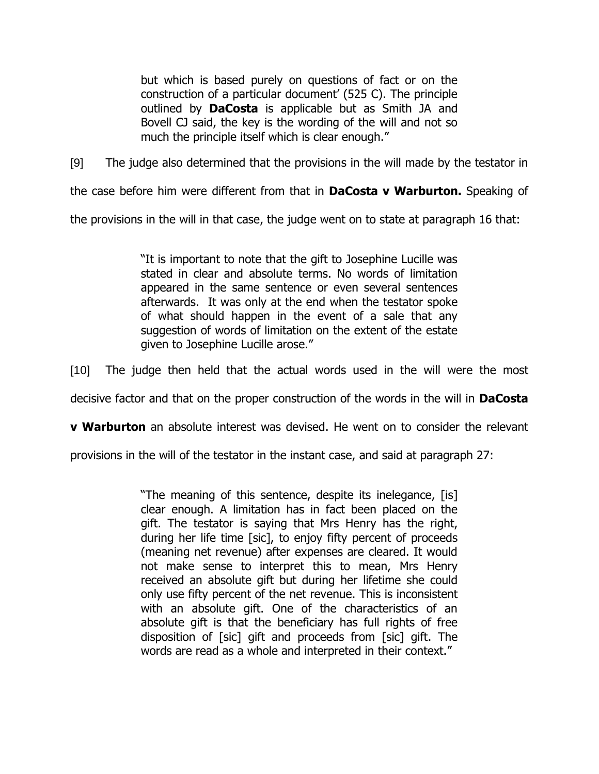but which is based purely on questions of fact or on the construction of a particular document' (525 C). The principle outlined by **DaCosta** is applicable but as Smith JA and Bovell CJ said, the key is the wording of the will and not so much the principle itself which is clear enough."

[9] The judge also determined that the provisions in the will made by the testator in

the case before him were different from that in **DaCosta v Warburton.** Speaking of

the provisions in the will in that case, the judge went on to state at paragraph 16 that:

"It is important to note that the gift to Josephine Lucille was stated in clear and absolute terms. No words of limitation appeared in the same sentence or even several sentences afterwards. It was only at the end when the testator spoke of what should happen in the event of a sale that any suggestion of words of limitation on the extent of the estate given to Josephine Lucille arose."

[10] The judge then held that the actual words used in the will were the most

decisive factor and that on the proper construction of the words in the will in **DaCosta** 

**v Warburton** an absolute interest was devised. He went on to consider the relevant

provisions in the will of the testator in the instant case, and said at paragraph 27:

"The meaning of this sentence, despite its inelegance, [is] clear enough. A limitation has in fact been placed on the gift. The testator is saying that Mrs Henry has the right, during her life time [sic], to enjoy fifty percent of proceeds (meaning net revenue) after expenses are cleared. It would not make sense to interpret this to mean, Mrs Henry received an absolute gift but during her lifetime she could only use fifty percent of the net revenue. This is inconsistent with an absolute gift. One of the characteristics of an absolute gift is that the beneficiary has full rights of free disposition of [sic] gift and proceeds from [sic] gift. The words are read as a whole and interpreted in their context."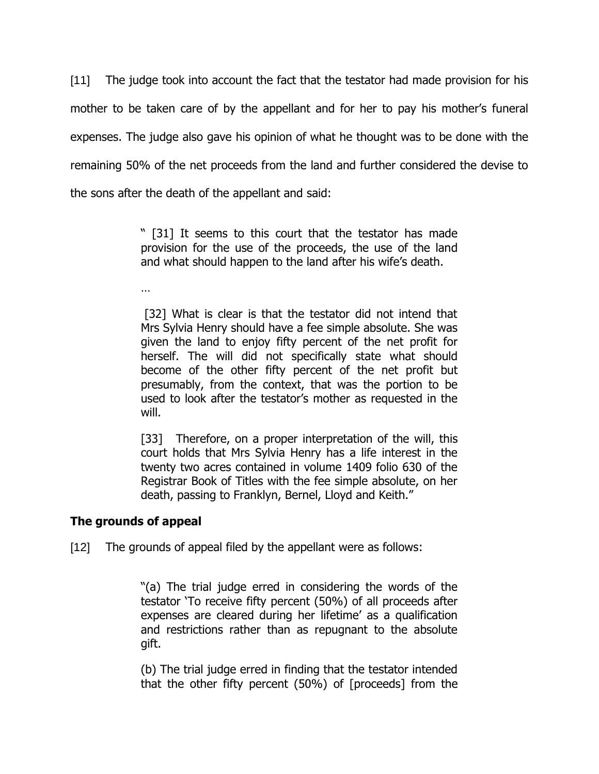[11] The judge took into account the fact that the testator had made provision for his mother to be taken care of by the appellant and for her to pay his mother's funeral expenses. The judge also gave his opinion of what he thought was to be done with the remaining 50% of the net proceeds from the land and further considered the devise to the sons after the death of the appellant and said:

> " [31] It seems to this court that the testator has made provision for the use of the proceeds, the use of the land and what should happen to the land after his wife's death.

…

[32] What is clear is that the testator did not intend that Mrs Sylvia Henry should have a fee simple absolute. She was given the land to enjoy fifty percent of the net profit for herself. The will did not specifically state what should become of the other fifty percent of the net profit but presumably, from the context, that was the portion to be used to look after the testator"s mother as requested in the will.

[33] Therefore, on a proper interpretation of the will, this court holds that Mrs Sylvia Henry has a life interest in the twenty two acres contained in volume 1409 folio 630 of the Registrar Book of Titles with the fee simple absolute, on her death, passing to Franklyn, Bernel, Lloyd and Keith."

# **The grounds of appeal**

[12] The grounds of appeal filed by the appellant were as follows:

"(a) The trial judge erred in considering the words of the testator "To receive fifty percent (50%) of all proceeds after expenses are cleared during her lifetime' as a qualification and restrictions rather than as repugnant to the absolute gift.

(b) The trial judge erred in finding that the testator intended that the other fifty percent (50%) of [proceeds] from the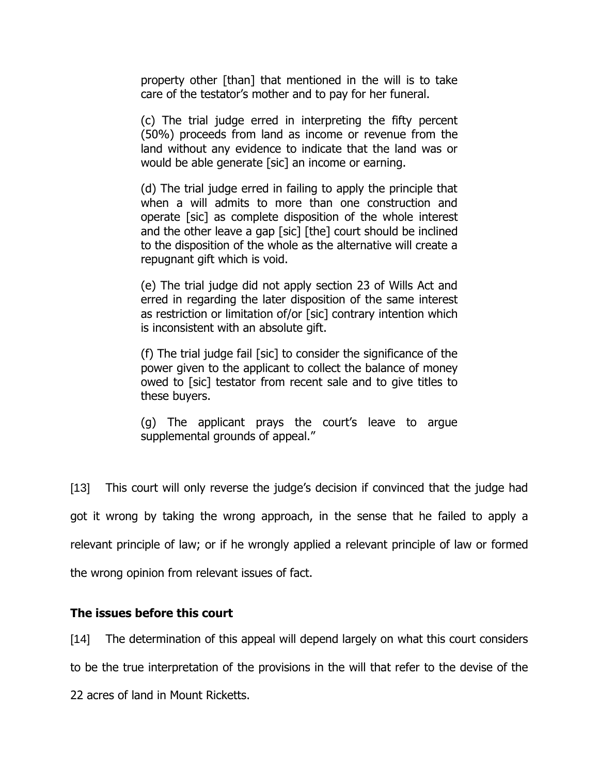property other [than] that mentioned in the will is to take care of the testator"s mother and to pay for her funeral.

(c) The trial judge erred in interpreting the fifty percent (50%) proceeds from land as income or revenue from the land without any evidence to indicate that the land was or would be able generate [sic] an income or earning.

(d) The trial judge erred in failing to apply the principle that when a will admits to more than one construction and operate [sic] as complete disposition of the whole interest and the other leave a gap [sic] [the] court should be inclined to the disposition of the whole as the alternative will create a repugnant gift which is void.

(e) The trial judge did not apply section 23 of Wills Act and erred in regarding the later disposition of the same interest as restriction or limitation of/or [sic] contrary intention which is inconsistent with an absolute gift.

(f) The trial judge fail [sic] to consider the significance of the power given to the applicant to collect the balance of money owed to [sic] testator from recent sale and to give titles to these buyers.

(g) The applicant prays the court"s leave to argue supplemental grounds of appeal."

[13] This court will only reverse the judge's decision if convinced that the judge had got it wrong by taking the wrong approach, in the sense that he failed to apply a relevant principle of law; or if he wrongly applied a relevant principle of law or formed the wrong opinion from relevant issues of fact.

## **The issues before this court**

[14] The determination of this appeal will depend largely on what this court considers

to be the true interpretation of the provisions in the will that refer to the devise of the

22 acres of land in Mount Ricketts.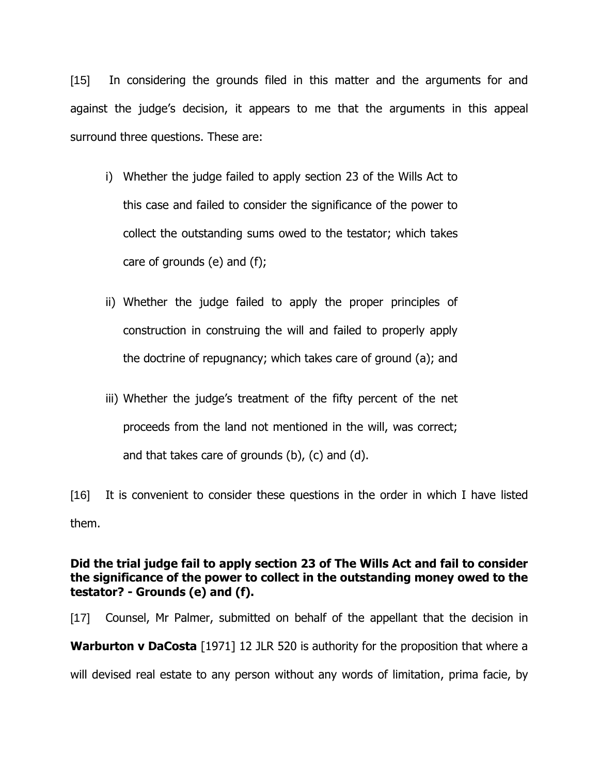[15] In considering the grounds filed in this matter and the arguments for and against the judge"s decision, it appears to me that the arguments in this appeal surround three questions. These are:

- i) Whether the judge failed to apply section 23 of the Wills Act to this case and failed to consider the significance of the power to collect the outstanding sums owed to the testator; which takes care of grounds (e) and (f);
- ii) Whether the judge failed to apply the proper principles of construction in construing the will and failed to properly apply the doctrine of repugnancy; which takes care of ground (a); and
- iii) Whether the judge's treatment of the fifty percent of the net proceeds from the land not mentioned in the will, was correct; and that takes care of grounds (b), (c) and (d).

[16] It is convenient to consider these questions in the order in which I have listed them.

# **Did the trial judge fail to apply section 23 of The Wills Act and fail to consider the significance of the power to collect in the outstanding money owed to the testator? - Grounds (e) and (f).**

[17] Counsel, Mr Palmer, submitted on behalf of the appellant that the decision in **Warburton v DaCosta** [1971] 12 JLR 520 is authority for the proposition that where a will devised real estate to any person without any words of limitation, prima facie, by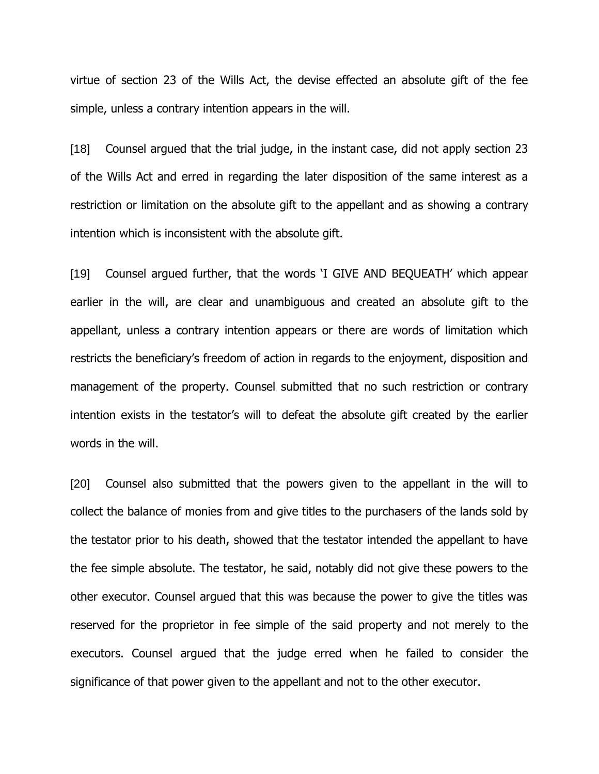virtue of section 23 of the Wills Act, the devise effected an absolute gift of the fee simple, unless a contrary intention appears in the will.

[18] Counsel argued that the trial judge, in the instant case, did not apply section 23 of the Wills Act and erred in regarding the later disposition of the same interest as a restriction or limitation on the absolute gift to the appellant and as showing a contrary intention which is inconsistent with the absolute gift.

[19] Counsel argued further, that the words "I GIVE AND BEQUEATH" which appear earlier in the will, are clear and unambiguous and created an absolute gift to the appellant, unless a contrary intention appears or there are words of limitation which restricts the beneficiary"s freedom of action in regards to the enjoyment, disposition and management of the property. Counsel submitted that no such restriction or contrary intention exists in the testator's will to defeat the absolute gift created by the earlier words in the will.

[20] Counsel also submitted that the powers given to the appellant in the will to collect the balance of monies from and give titles to the purchasers of the lands sold by the testator prior to his death, showed that the testator intended the appellant to have the fee simple absolute. The testator, he said, notably did not give these powers to the other executor. Counsel argued that this was because the power to give the titles was reserved for the proprietor in fee simple of the said property and not merely to the executors. Counsel argued that the judge erred when he failed to consider the significance of that power given to the appellant and not to the other executor.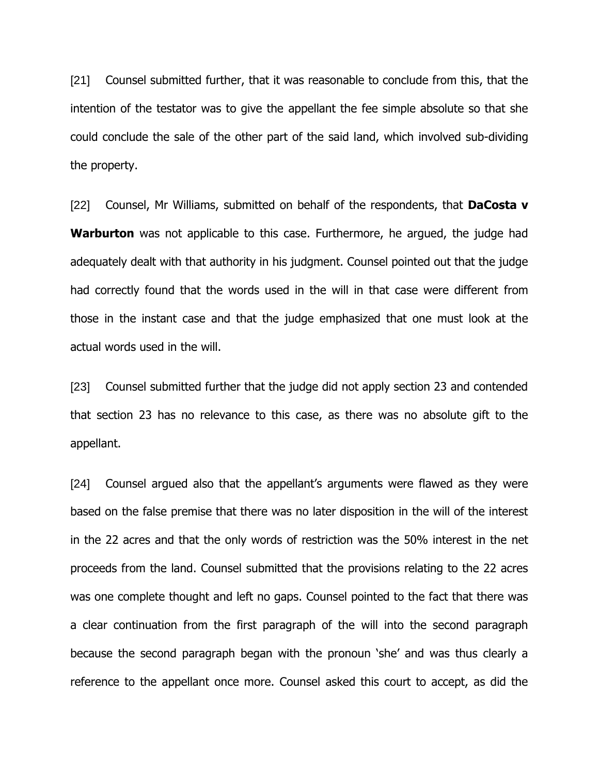[21] Counsel submitted further, that it was reasonable to conclude from this, that the intention of the testator was to give the appellant the fee simple absolute so that she could conclude the sale of the other part of the said land, which involved sub-dividing the property.

[22] Counsel, Mr Williams, submitted on behalf of the respondents, that **DaCosta v Warburton** was not applicable to this case. Furthermore, he argued, the judge had adequately dealt with that authority in his judgment. Counsel pointed out that the judge had correctly found that the words used in the will in that case were different from those in the instant case and that the judge emphasized that one must look at the actual words used in the will.

[23] Counsel submitted further that the judge did not apply section 23 and contended that section 23 has no relevance to this case, as there was no absolute gift to the appellant.

[24] Counsel argued also that the appellant's arguments were flawed as they were based on the false premise that there was no later disposition in the will of the interest in the 22 acres and that the only words of restriction was the 50% interest in the net proceeds from the land. Counsel submitted that the provisions relating to the 22 acres was one complete thought and left no gaps. Counsel pointed to the fact that there was a clear continuation from the first paragraph of the will into the second paragraph because the second paragraph began with the pronoun "she" and was thus clearly a reference to the appellant once more. Counsel asked this court to accept, as did the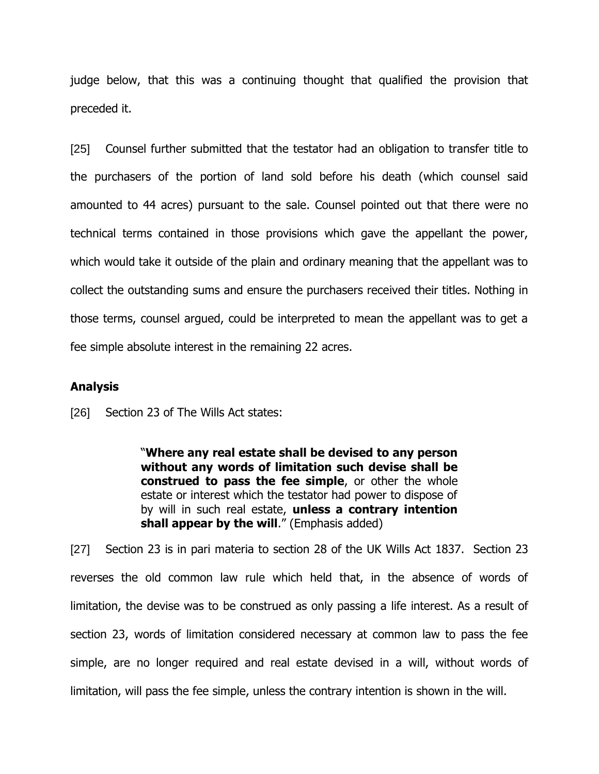judge below, that this was a continuing thought that qualified the provision that preceded it.

[25] Counsel further submitted that the testator had an obligation to transfer title to the purchasers of the portion of land sold before his death (which counsel said amounted to 44 acres) pursuant to the sale. Counsel pointed out that there were no technical terms contained in those provisions which gave the appellant the power, which would take it outside of the plain and ordinary meaning that the appellant was to collect the outstanding sums and ensure the purchasers received their titles. Nothing in those terms, counsel argued, could be interpreted to mean the appellant was to get a fee simple absolute interest in the remaining 22 acres.

#### **Analysis**

[26] Section 23 of The Wills Act states:

"**Where any real estate shall be devised to any person without any words of limitation such devise shall be construed to pass the fee simple**, or other the whole estate or interest which the testator had power to dispose of by will in such real estate, **unless a contrary intention**  shall appear by the will." (Emphasis added)

[27] Section 23 is in pari materia to section 28 of the UK Wills Act 1837. Section 23 reverses the old common law rule which held that, in the absence of words of limitation, the devise was to be construed as only passing a life interest. As a result of section 23, words of limitation considered necessary at common law to pass the fee simple, are no longer required and real estate devised in a will, without words of limitation, will pass the fee simple, unless the contrary intention is shown in the will.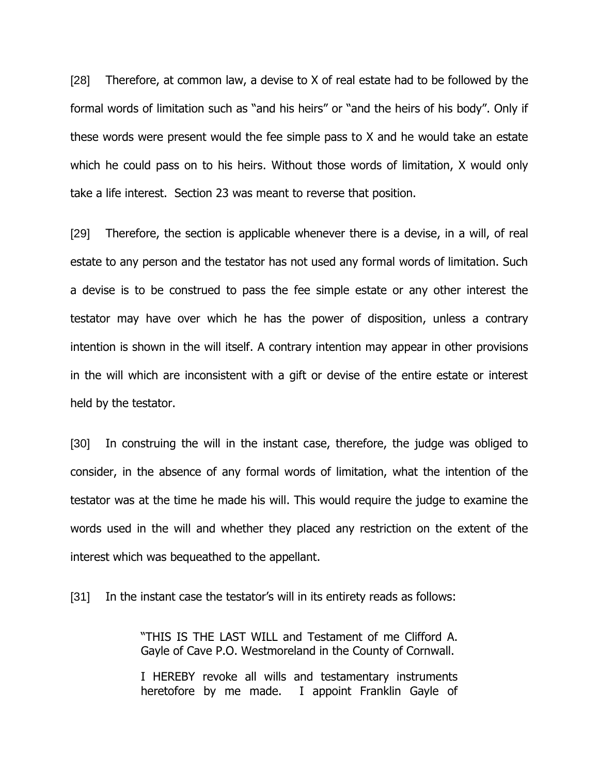[28] Therefore, at common law, a devise to X of real estate had to be followed by the formal words of limitation such as "and his heirs" or "and the heirs of his body". Only if these words were present would the fee simple pass to X and he would take an estate which he could pass on to his heirs. Without those words of limitation, X would only take a life interest. Section 23 was meant to reverse that position.

[29] Therefore, the section is applicable whenever there is a devise, in a will, of real estate to any person and the testator has not used any formal words of limitation. Such a devise is to be construed to pass the fee simple estate or any other interest the testator may have over which he has the power of disposition, unless a contrary intention is shown in the will itself. A contrary intention may appear in other provisions in the will which are inconsistent with a gift or devise of the entire estate or interest held by the testator.

[30] In construing the will in the instant case, therefore, the judge was obliged to consider, in the absence of any formal words of limitation, what the intention of the testator was at the time he made his will. This would require the judge to examine the words used in the will and whether they placed any restriction on the extent of the interest which was bequeathed to the appellant.

[31] In the instant case the testator's will in its entirety reads as follows:

"THIS IS THE LAST WILL and Testament of me Clifford A. Gayle of Cave P.O. Westmoreland in the County of Cornwall.

I HEREBY revoke all wills and testamentary instruments heretofore by me made. I appoint Franklin Gayle of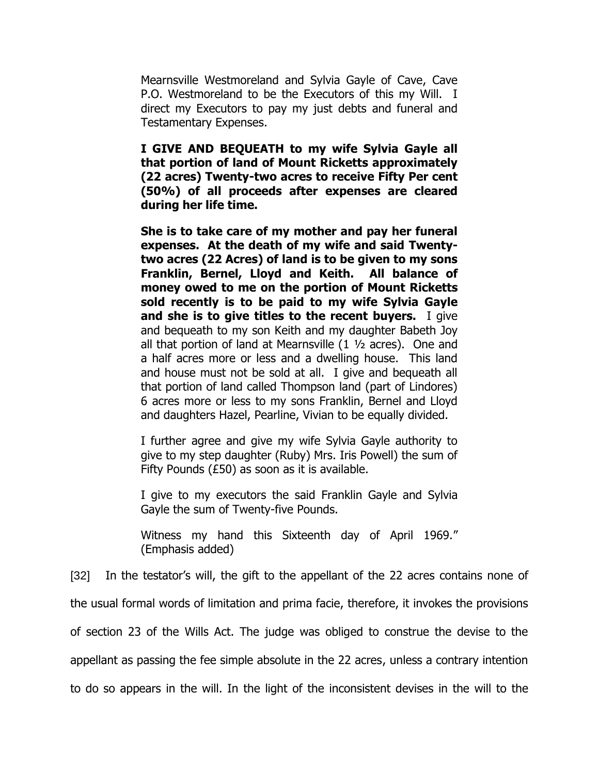Mearnsville Westmoreland and Sylvia Gayle of Cave, Cave P.O. Westmoreland to be the Executors of this my Will. I direct my Executors to pay my just debts and funeral and Testamentary Expenses.

**I GIVE AND BEQUEATH to my wife Sylvia Gayle all that portion of land of Mount Ricketts approximately (22 acres) Twenty-two acres to receive Fifty Per cent (50%) of all proceeds after expenses are cleared during her life time.**

**She is to take care of my mother and pay her funeral expenses. At the death of my wife and said Twentytwo acres (22 Acres) of land is to be given to my sons Franklin, Bernel, Lloyd and Keith. All balance of money owed to me on the portion of Mount Ricketts sold recently is to be paid to my wife Sylvia Gayle and she is to give titles to the recent buyers.** I give and bequeath to my son Keith and my daughter Babeth Joy all that portion of land at Mearnsville (1 ½ acres). One and a half acres more or less and a dwelling house. This land and house must not be sold at all. I give and bequeath all that portion of land called Thompson land (part of Lindores) 6 acres more or less to my sons Franklin, Bernel and Lloyd and daughters Hazel, Pearline, Vivian to be equally divided.

I further agree and give my wife Sylvia Gayle authority to give to my step daughter (Ruby) Mrs. Iris Powell) the sum of Fifty Pounds (£50) as soon as it is available.

I give to my executors the said Franklin Gayle and Sylvia Gayle the sum of Twenty-five Pounds.

Witness my hand this Sixteenth day of April 1969." (Emphasis added)

[32] In the testator's will, the gift to the appellant of the 22 acres contains none of

the usual formal words of limitation and prima facie, therefore, it invokes the provisions

of section 23 of the Wills Act. The judge was obliged to construe the devise to the

appellant as passing the fee simple absolute in the 22 acres, unless a contrary intention

to do so appears in the will. In the light of the inconsistent devises in the will to the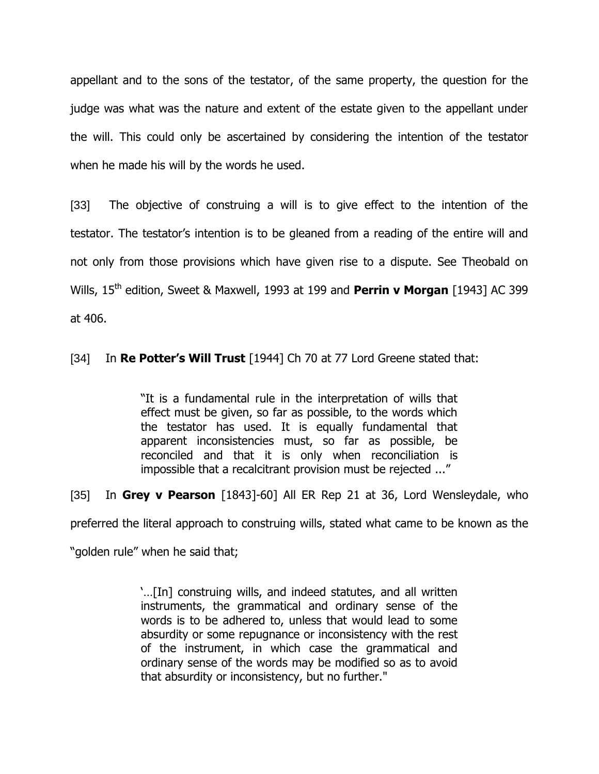appellant and to the sons of the testator, of the same property, the question for the judge was what was the nature and extent of the estate given to the appellant under the will. This could only be ascertained by considering the intention of the testator when he made his will by the words he used.

[33] The objective of construing a will is to give effect to the intention of the testator. The testator"s intention is to be gleaned from a reading of the entire will and not only from those provisions which have given rise to a dispute. See Theobald on Wills, 15<sup>th</sup> edition, Sweet & Maxwell, 1993 at 199 and Perrin v Morgan [1943] AC 399 at 406.

[34] In **Re Potter's Will Trust** [1944] Ch 70 at 77 Lord Greene stated that:

"It is a fundamental rule in the interpretation of wills that effect must be given, so far as possible, to the words which the testator has used. It is equally fundamental that apparent inconsistencies must, so far as possible, be reconciled and that it is only when reconciliation is impossible that a recalcitrant provision must be rejected ..."

[35] In **Grey v Pearson** [1843]-60] All ER Rep 21 at 36, Lord Wensleydale, who

preferred the literal approach to construing wills, stated what came to be known as the

"golden rule" when he said that;

"…[In] construing wills, and indeed statutes, and all written instruments, the grammatical and ordinary sense of the words is to be adhered to, unless that would lead to some absurdity or some repugnance or inconsistency with the rest of the instrument, in which case the grammatical and ordinary sense of the words may be modified so as to avoid that absurdity or inconsistency, but no further."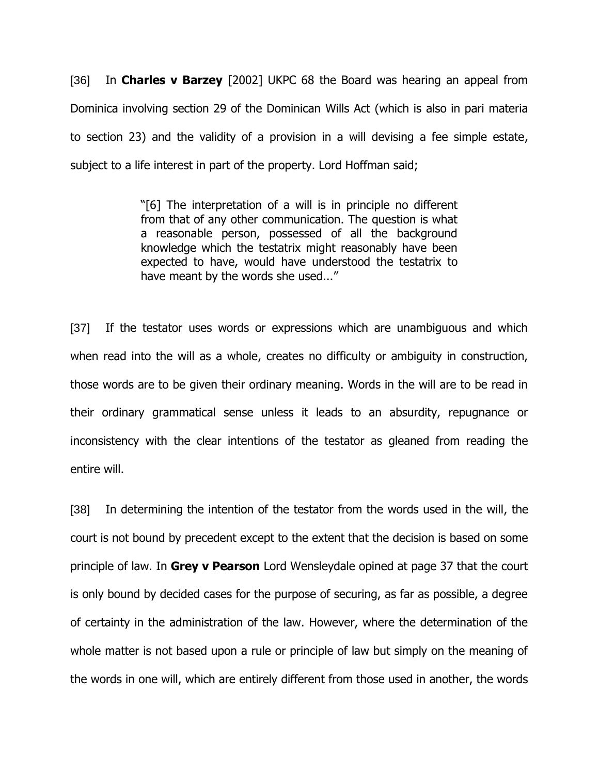[36] In **Charles v Barzey** [2002] UKPC 68 the Board was hearing an appeal from Dominica involving section 29 of the Dominican Wills Act (which is also in pari materia to section 23) and the validity of a provision in a will devising a fee simple estate, subject to a life interest in part of the property. Lord Hoffman said;

> "[6] The interpretation of a will is in principle no different from that of any other communication. The question is what a reasonable person, possessed of all the background knowledge which the testatrix might reasonably have been expected to have, would have understood the testatrix to have meant by the words she used..."

[37] If the testator uses words or expressions which are unambiguous and which when read into the will as a whole, creates no difficulty or ambiguity in construction, those words are to be given their ordinary meaning. Words in the will are to be read in their ordinary grammatical sense unless it leads to an absurdity, repugnance or inconsistency with the clear intentions of the testator as gleaned from reading the entire will.

[38] In determining the intention of the testator from the words used in the will, the court is not bound by precedent except to the extent that the decision is based on some principle of law. In **Grey v Pearson** Lord Wensleydale opined at page 37 that the court is only bound by decided cases for the purpose of securing, as far as possible, a degree of certainty in the administration of the law. However, where the determination of the whole matter is not based upon a rule or principle of law but simply on the meaning of the words in one will, which are entirely different from those used in another, the words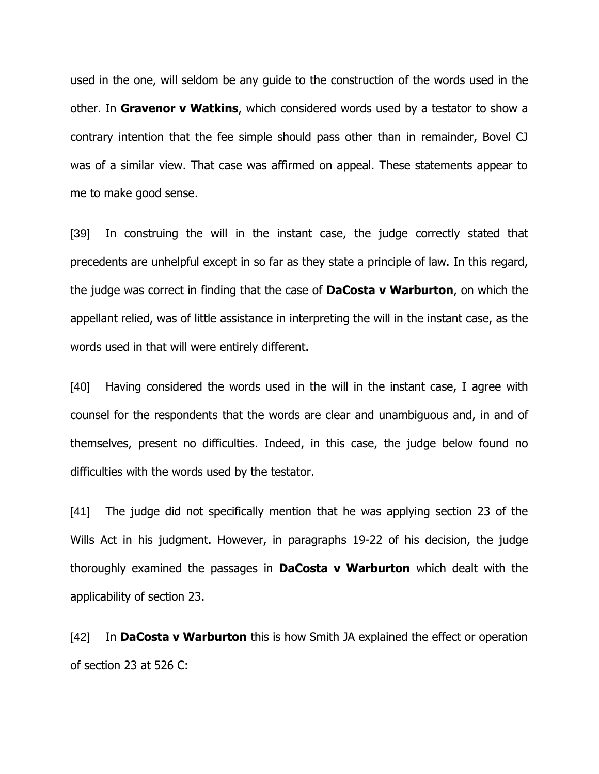used in the one, will seldom be any guide to the construction of the words used in the other. In **Gravenor v Watkins**, which considered words used by a testator to show a contrary intention that the fee simple should pass other than in remainder, Bovel CJ was of a similar view. That case was affirmed on appeal. These statements appear to me to make good sense.

[39] In construing the will in the instant case, the judge correctly stated that precedents are unhelpful except in so far as they state a principle of law. In this regard, the judge was correct in finding that the case of **DaCosta v Warburton**, on which the appellant relied, was of little assistance in interpreting the will in the instant case, as the words used in that will were entirely different.

[40] Having considered the words used in the will in the instant case, I agree with counsel for the respondents that the words are clear and unambiguous and, in and of themselves, present no difficulties. Indeed, in this case, the judge below found no difficulties with the words used by the testator.

[41] The judge did not specifically mention that he was applying section 23 of the Wills Act in his judgment. However, in paragraphs 19-22 of his decision, the judge thoroughly examined the passages in **DaCosta v Warburton** which dealt with the applicability of section 23.

[42] In **DaCosta v Warburton** this is how Smith JA explained the effect or operation of section 23 at 526 C: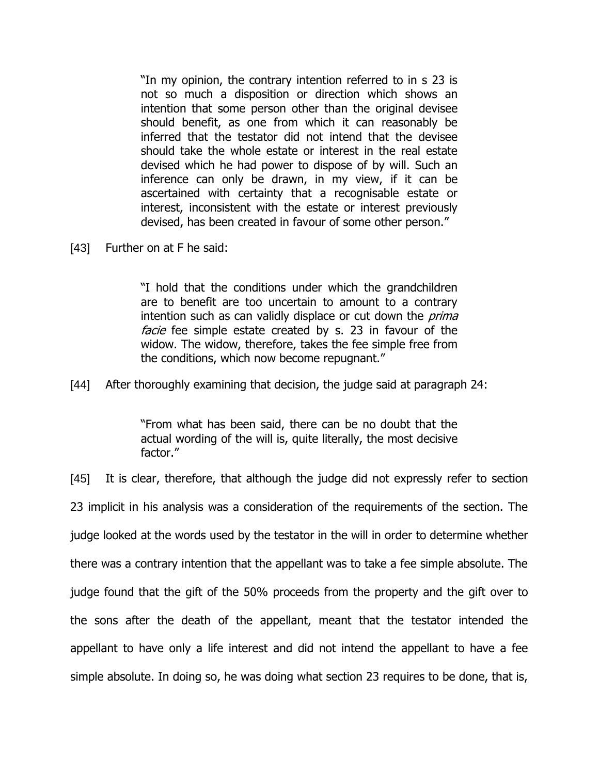"In my opinion, the contrary intention referred to in s 23 is not so much a disposition or direction which shows an intention that some person other than the original devisee should benefit, as one from which it can reasonably be inferred that the testator did not intend that the devisee should take the whole estate or interest in the real estate devised which he had power to dispose of by will. Such an inference can only be drawn, in my view, if it can be ascertained with certainty that a recognisable estate or interest, inconsistent with the estate or interest previously devised, has been created in favour of some other person."

[43] Further on at F he said:

"I hold that the conditions under which the grandchildren are to benefit are too uncertain to amount to a contrary intention such as can validly displace or cut down the *prima* facie fee simple estate created by s. 23 in favour of the widow. The widow, therefore, takes the fee simple free from the conditions, which now become repugnant."

[44] After thoroughly examining that decision, the judge said at paragraph 24:

"From what has been said, there can be no doubt that the actual wording of the will is, quite literally, the most decisive factor."

[45] It is clear, therefore, that although the judge did not expressly refer to section 23 implicit in his analysis was a consideration of the requirements of the section. The judge looked at the words used by the testator in the will in order to determine whether there was a contrary intention that the appellant was to take a fee simple absolute. The judge found that the gift of the 50% proceeds from the property and the gift over to the sons after the death of the appellant, meant that the testator intended the appellant to have only a life interest and did not intend the appellant to have a fee simple absolute. In doing so, he was doing what section 23 requires to be done, that is,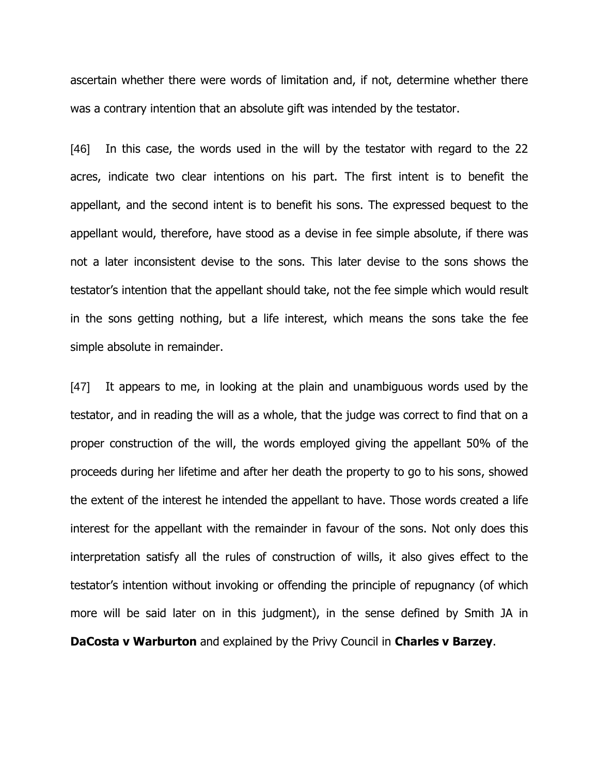ascertain whether there were words of limitation and, if not, determine whether there was a contrary intention that an absolute gift was intended by the testator.

[46] In this case, the words used in the will by the testator with regard to the 22 acres, indicate two clear intentions on his part. The first intent is to benefit the appellant, and the second intent is to benefit his sons. The expressed bequest to the appellant would, therefore, have stood as a devise in fee simple absolute, if there was not a later inconsistent devise to the sons. This later devise to the sons shows the testator"s intention that the appellant should take, not the fee simple which would result in the sons getting nothing, but a life interest, which means the sons take the fee simple absolute in remainder.

[47] It appears to me, in looking at the plain and unambiguous words used by the testator, and in reading the will as a whole, that the judge was correct to find that on a proper construction of the will, the words employed giving the appellant 50% of the proceeds during her lifetime and after her death the property to go to his sons, showed the extent of the interest he intended the appellant to have. Those words created a life interest for the appellant with the remainder in favour of the sons. Not only does this interpretation satisfy all the rules of construction of wills, it also gives effect to the testator"s intention without invoking or offending the principle of repugnancy (of which more will be said later on in this judgment), in the sense defined by Smith JA in **DaCosta v Warburton** and explained by the Privy Council in **Charles v Barzey**.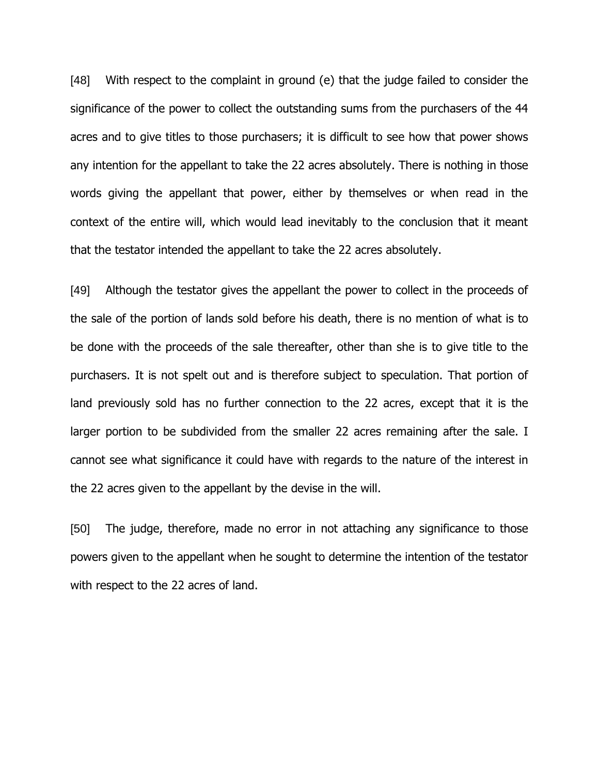[48] With respect to the complaint in ground (e) that the judge failed to consider the significance of the power to collect the outstanding sums from the purchasers of the 44 acres and to give titles to those purchasers; it is difficult to see how that power shows any intention for the appellant to take the 22 acres absolutely. There is nothing in those words giving the appellant that power, either by themselves or when read in the context of the entire will, which would lead inevitably to the conclusion that it meant that the testator intended the appellant to take the 22 acres absolutely.

[49] Although the testator gives the appellant the power to collect in the proceeds of the sale of the portion of lands sold before his death, there is no mention of what is to be done with the proceeds of the sale thereafter, other than she is to give title to the purchasers. It is not spelt out and is therefore subject to speculation. That portion of land previously sold has no further connection to the 22 acres, except that it is the larger portion to be subdivided from the smaller 22 acres remaining after the sale. I cannot see what significance it could have with regards to the nature of the interest in the 22 acres given to the appellant by the devise in the will.

[50] The judge, therefore, made no error in not attaching any significance to those powers given to the appellant when he sought to determine the intention of the testator with respect to the 22 acres of land.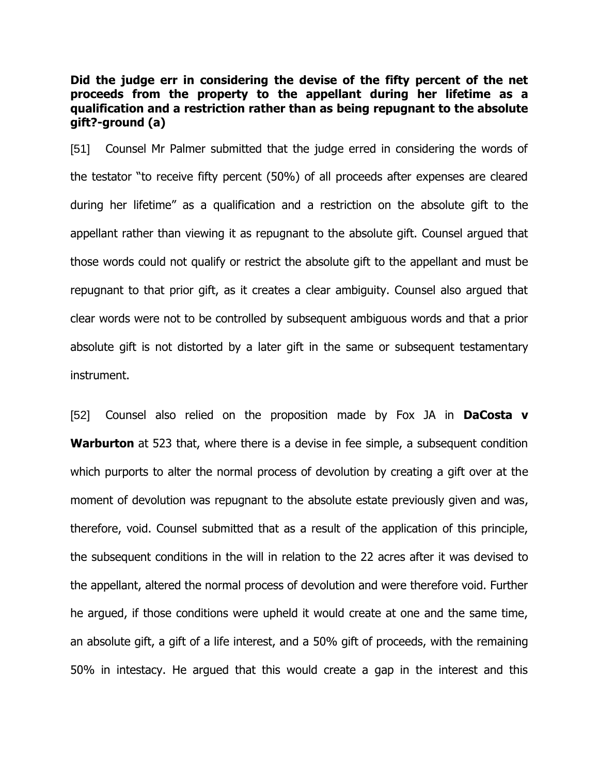**Did the judge err in considering the devise of the fifty percent of the net proceeds from the property to the appellant during her lifetime as a qualification and a restriction rather than as being repugnant to the absolute gift?-ground (a)**

[51] Counsel Mr Palmer submitted that the judge erred in considering the words of the testator "to receive fifty percent (50%) of all proceeds after expenses are cleared during her lifetime" as a qualification and a restriction on the absolute gift to the appellant rather than viewing it as repugnant to the absolute gift. Counsel argued that those words could not qualify or restrict the absolute gift to the appellant and must be repugnant to that prior gift, as it creates a clear ambiguity. Counsel also argued that clear words were not to be controlled by subsequent ambiguous words and that a prior absolute gift is not distorted by a later gift in the same or subsequent testamentary instrument.

[52] Counsel also relied on the proposition made by Fox JA in **DaCosta v Warburton** at 523 that, where there is a devise in fee simple, a subsequent condition which purports to alter the normal process of devolution by creating a gift over at the moment of devolution was repugnant to the absolute estate previously given and was, therefore, void. Counsel submitted that as a result of the application of this principle, the subsequent conditions in the will in relation to the 22 acres after it was devised to the appellant, altered the normal process of devolution and were therefore void. Further he argued, if those conditions were upheld it would create at one and the same time, an absolute gift, a gift of a life interest, and a 50% gift of proceeds, with the remaining 50% in intestacy. He argued that this would create a gap in the interest and this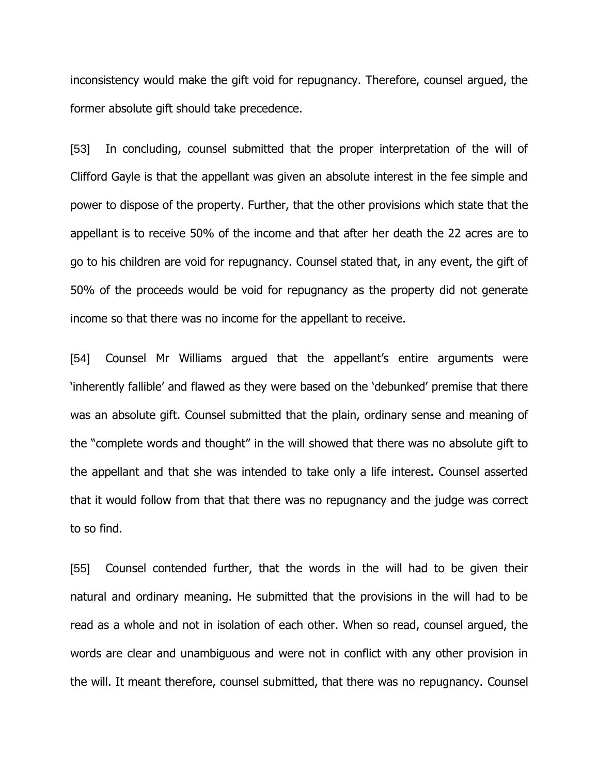inconsistency would make the gift void for repugnancy. Therefore, counsel argued, the former absolute gift should take precedence.

[53] In concluding, counsel submitted that the proper interpretation of the will of Clifford Gayle is that the appellant was given an absolute interest in the fee simple and power to dispose of the property. Further, that the other provisions which state that the appellant is to receive 50% of the income and that after her death the 22 acres are to go to his children are void for repugnancy. Counsel stated that, in any event, the gift of 50% of the proceeds would be void for repugnancy as the property did not generate income so that there was no income for the appellant to receive.

[54] Counsel Mr Williams argued that the appellant's entire arguments were "inherently fallible" and flawed as they were based on the "debunked" premise that there was an absolute gift. Counsel submitted that the plain, ordinary sense and meaning of the "complete words and thought" in the will showed that there was no absolute gift to the appellant and that she was intended to take only a life interest. Counsel asserted that it would follow from that that there was no repugnancy and the judge was correct to so find.

[55] Counsel contended further, that the words in the will had to be given their natural and ordinary meaning. He submitted that the provisions in the will had to be read as a whole and not in isolation of each other. When so read, counsel argued, the words are clear and unambiguous and were not in conflict with any other provision in the will. It meant therefore, counsel submitted, that there was no repugnancy. Counsel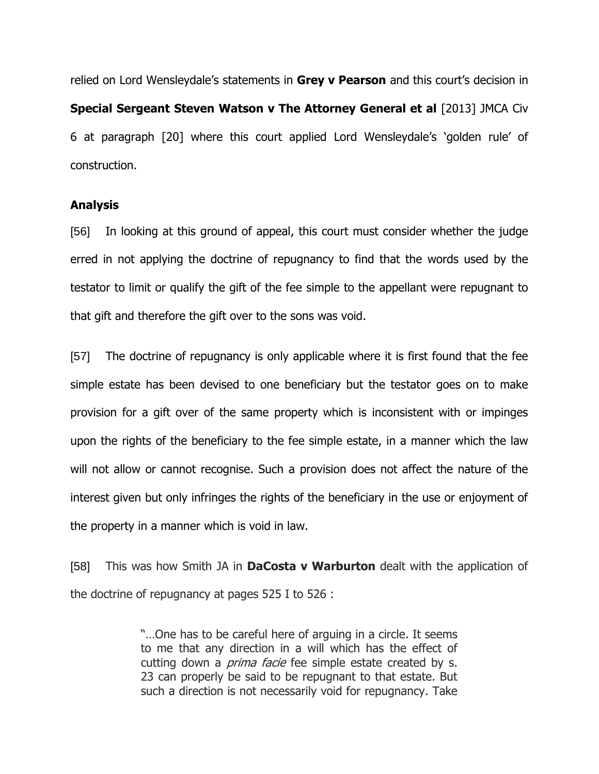relied on Lord Wensleydale's statements in Grey v Pearson and this court's decision in **Special Sergeant Steven Watson v The Attorney General et al** [2013] JMCA Civ 6 at paragraph [20] where this court applied Lord Wensleydale"s "golden rule" of construction.

### **Analysis**

[56] In looking at this ground of appeal, this court must consider whether the judge erred in not applying the doctrine of repugnancy to find that the words used by the testator to limit or qualify the gift of the fee simple to the appellant were repugnant to that gift and therefore the gift over to the sons was void.

[57] The doctrine of repugnancy is only applicable where it is first found that the fee simple estate has been devised to one beneficiary but the testator goes on to make provision for a gift over of the same property which is inconsistent with or impinges upon the rights of the beneficiary to the fee simple estate, in a manner which the law will not allow or cannot recognise. Such a provision does not affect the nature of the interest given but only infringes the rights of the beneficiary in the use or enjoyment of the property in a manner which is void in law.

[58] This was how Smith JA in **DaCosta v Warburton** dealt with the application of the doctrine of repugnancy at pages 525 I to 526 :

> "…One has to be careful here of arguing in a circle. It seems to me that any direction in a will which has the effect of cutting down a *prima facie* fee simple estate created by s. 23 can properly be said to be repugnant to that estate. But such a direction is not necessarily void for repugnancy. Take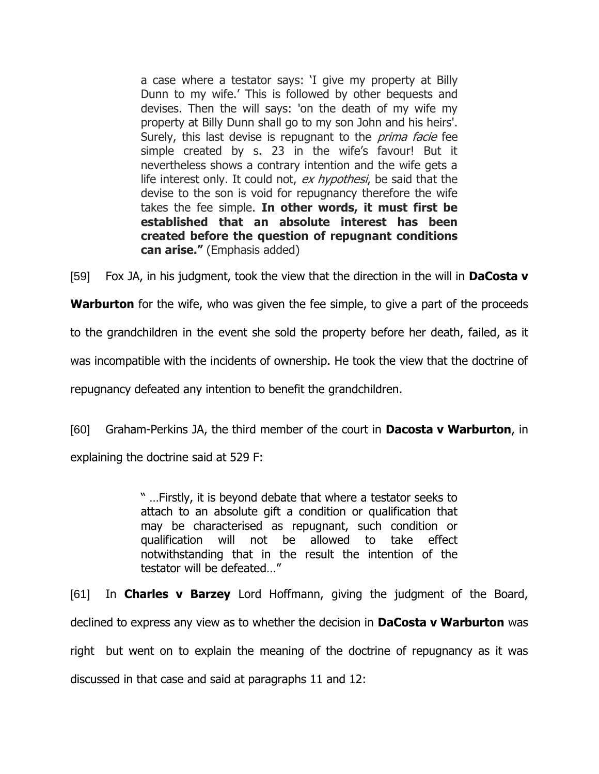a case where a testator says: "I give my property at Billy Dunn to my wife." This is followed by other bequests and devises. Then the will says: 'on the death of my wife my property at Billy Dunn shall go to my son John and his heirs'. Surely, this last devise is repugnant to the *prima facie* fee simple created by s. 23 in the wife's favour! But it nevertheless shows a contrary intention and the wife gets a life interest only. It could not, ex hypothesi, be said that the devise to the son is void for repugnancy therefore the wife takes the fee simple. **In other words, it must first be established that an absolute interest has been created before the question of repugnant conditions can arise."** (Emphasis added)

[59] Fox JA, in his judgment, took the view that the direction in the will in **DaCosta v** 

**Warburton** for the wife, who was given the fee simple, to give a part of the proceeds

to the grandchildren in the event she sold the property before her death, failed, as it

was incompatible with the incidents of ownership. He took the view that the doctrine of

repugnancy defeated any intention to benefit the grandchildren.

[60] Graham-Perkins JA, the third member of the court in **Dacosta v Warburton**, in explaining the doctrine said at 529 F:

> " …Firstly, it is beyond debate that where a testator seeks to attach to an absolute gift a condition or qualification that may be characterised as repugnant, such condition or qualification will not be allowed to take effect notwithstanding that in the result the intention of the testator will be defeated…"

[61] In **Charles v Barzey** Lord Hoffmann, giving the judgment of the Board, declined to express any view as to whether the decision in **DaCosta v Warburton** was right but went on to explain the meaning of the doctrine of repugnancy as it was discussed in that case and said at paragraphs 11 and 12: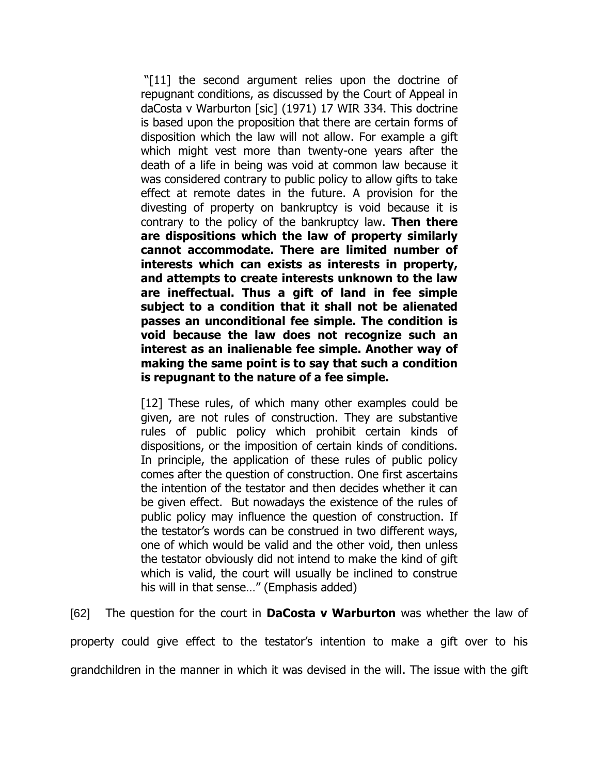"[11] the second argument relies upon the doctrine of repugnant conditions, as discussed by the Court of Appeal in daCosta v Warburton [sic] (1971) 17 WIR 334. This doctrine is based upon the proposition that there are certain forms of disposition which the law will not allow. For example a gift which might vest more than twenty-one years after the death of a life in being was void at common law because it was considered contrary to public policy to allow gifts to take effect at remote dates in the future. A provision for the divesting of property on bankruptcy is void because it is contrary to the policy of the bankruptcy law. **Then there are dispositions which the law of property similarly cannot accommodate. There are limited number of interests which can exists as interests in property, and attempts to create interests unknown to the law are ineffectual. Thus a gift of land in fee simple subject to a condition that it shall not be alienated passes an unconditional fee simple. The condition is void because the law does not recognize such an interest as an inalienable fee simple. Another way of making the same point is to say that such a condition is repugnant to the nature of a fee simple.**

[12] These rules, of which many other examples could be given, are not rules of construction. They are substantive rules of public policy which prohibit certain kinds of dispositions, or the imposition of certain kinds of conditions. In principle, the application of these rules of public policy comes after the question of construction. One first ascertains the intention of the testator and then decides whether it can be given effect. But nowadays the existence of the rules of public policy may influence the question of construction. If the testator"s words can be construed in two different ways, one of which would be valid and the other void, then unless the testator obviously did not intend to make the kind of gift which is valid, the court will usually be inclined to construe his will in that sense…" (Emphasis added)

[62] The question for the court in **DaCosta v Warburton** was whether the law of property could give effect to the testator"s intention to make a gift over to his grandchildren in the manner in which it was devised in the will. The issue with the gift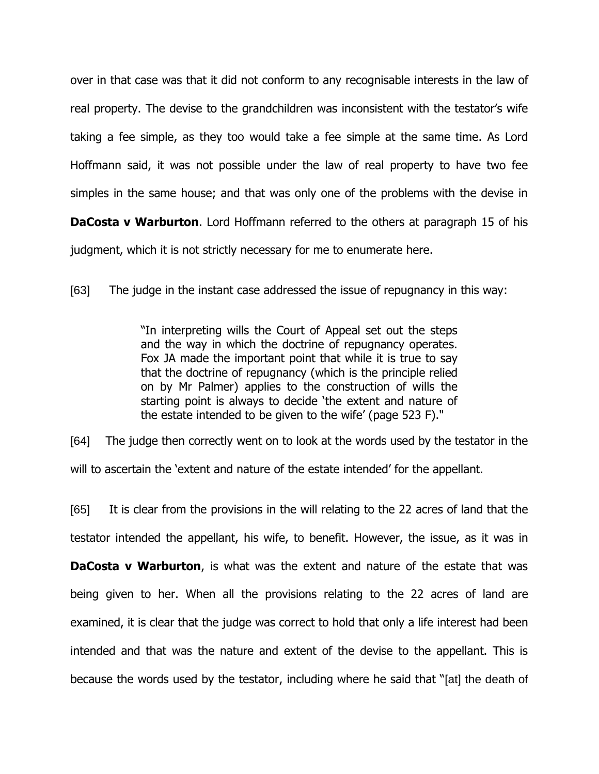over in that case was that it did not conform to any recognisable interests in the law of real property. The devise to the grandchildren was inconsistent with the testator's wife taking a fee simple, as they too would take a fee simple at the same time. As Lord Hoffmann said, it was not possible under the law of real property to have two fee simples in the same house; and that was only one of the problems with the devise in

**DaCosta v Warburton**. Lord Hoffmann referred to the others at paragraph 15 of his judgment, which it is not strictly necessary for me to enumerate here.

[63] The judge in the instant case addressed the issue of repugnancy in this way:

"In interpreting wills the Court of Appeal set out the steps and the way in which the doctrine of repugnancy operates. Fox JA made the important point that while it is true to say that the doctrine of repugnancy (which is the principle relied on by Mr Palmer) applies to the construction of wills the starting point is always to decide "the extent and nature of the estate intended to be given to the wife" (page 523 F)."

[64] The judge then correctly went on to look at the words used by the testator in the will to ascertain the "extent and nature of the estate intended" for the appellant.

[65] It is clear from the provisions in the will relating to the 22 acres of land that the testator intended the appellant, his wife, to benefit. However, the issue, as it was in **DaCosta v Warburton**, is what was the extent and nature of the estate that was being given to her. When all the provisions relating to the 22 acres of land are examined, it is clear that the judge was correct to hold that only a life interest had been intended and that was the nature and extent of the devise to the appellant. This is because the words used by the testator, including where he said that "[at] the death of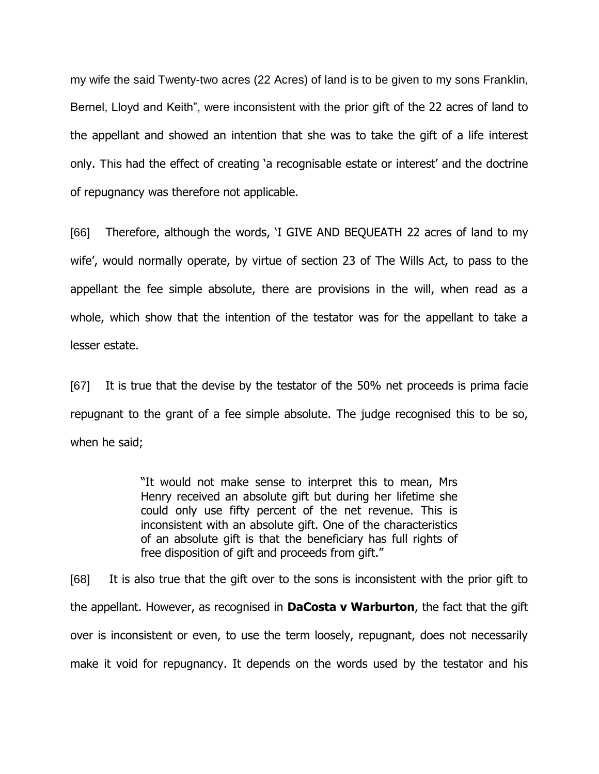my wife the said Twenty-two acres (22 Acres) of land is to be given to my sons Franklin, Bernel, Lloyd and Keith", were inconsistent with the prior gift of the 22 acres of land to the appellant and showed an intention that she was to take the gift of a life interest only. This had the effect of creating 'a recognisable estate or interest' and the doctrine of repugnancy was therefore not applicable.

[66] Therefore, although the words, "I GIVE AND BEQUEATH 22 acres of land to my wife', would normally operate, by virtue of section 23 of The Wills Act, to pass to the appellant the fee simple absolute, there are provisions in the will, when read as a whole, which show that the intention of the testator was for the appellant to take a lesser estate.

[67] It is true that the devise by the testator of the 50% net proceeds is prima facie repugnant to the grant of a fee simple absolute. The judge recognised this to be so, when he said;

> "It would not make sense to interpret this to mean, Mrs Henry received an absolute gift but during her lifetime she could only use fifty percent of the net revenue. This is inconsistent with an absolute gift. One of the characteristics of an absolute gift is that the beneficiary has full rights of free disposition of gift and proceeds from gift."

[68] It is also true that the gift over to the sons is inconsistent with the prior gift to the appellant. However, as recognised in **DaCosta v Warburton**, the fact that the gift over is inconsistent or even, to use the term loosely, repugnant, does not necessarily make it void for repugnancy. It depends on the words used by the testator and his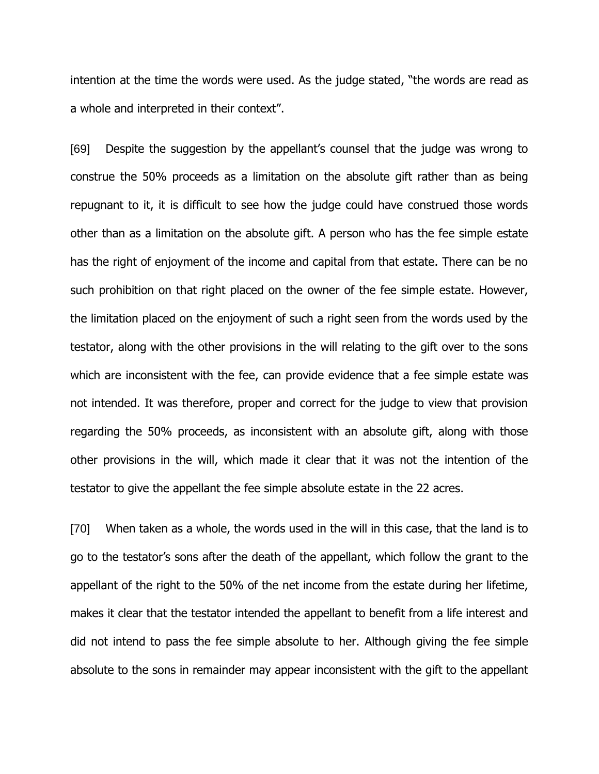intention at the time the words were used. As the judge stated, "the words are read as a whole and interpreted in their context".

[69] Despite the suggestion by the appellant"s counsel that the judge was wrong to construe the 50% proceeds as a limitation on the absolute gift rather than as being repugnant to it, it is difficult to see how the judge could have construed those words other than as a limitation on the absolute gift. A person who has the fee simple estate has the right of enjoyment of the income and capital from that estate. There can be no such prohibition on that right placed on the owner of the fee simple estate. However, the limitation placed on the enjoyment of such a right seen from the words used by the testator, along with the other provisions in the will relating to the gift over to the sons which are inconsistent with the fee, can provide evidence that a fee simple estate was not intended. It was therefore, proper and correct for the judge to view that provision regarding the 50% proceeds, as inconsistent with an absolute gift, along with those other provisions in the will, which made it clear that it was not the intention of the testator to give the appellant the fee simple absolute estate in the 22 acres.

[70] When taken as a whole, the words used in the will in this case, that the land is to go to the testator"s sons after the death of the appellant, which follow the grant to the appellant of the right to the 50% of the net income from the estate during her lifetime, makes it clear that the testator intended the appellant to benefit from a life interest and did not intend to pass the fee simple absolute to her. Although giving the fee simple absolute to the sons in remainder may appear inconsistent with the gift to the appellant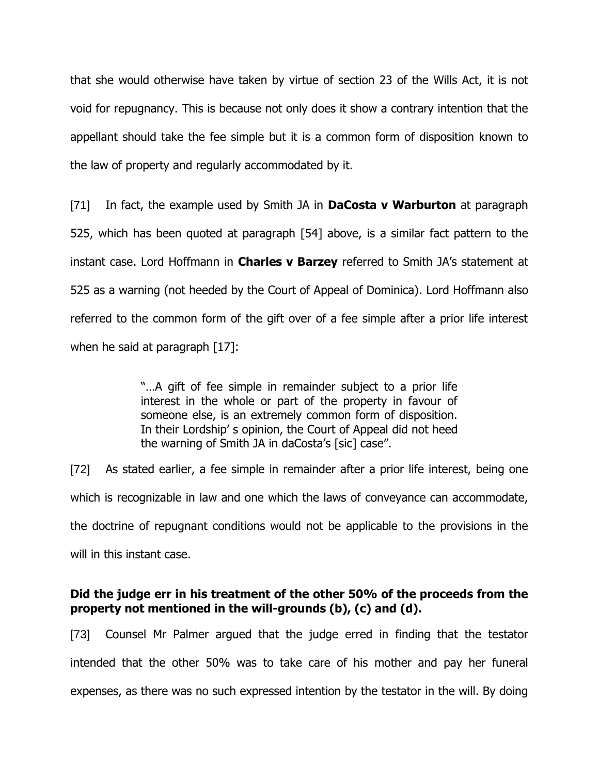that she would otherwise have taken by virtue of section 23 of the Wills Act, it is not void for repugnancy. This is because not only does it show a contrary intention that the appellant should take the fee simple but it is a common form of disposition known to the law of property and regularly accommodated by it.

[71] In fact, the example used by Smith JA in **DaCosta v Warburton** at paragraph 525, which has been quoted at paragraph [54] above, is a similar fact pattern to the instant case. Lord Hoffmann in **Charles v Barzey** referred to Smith JA"s statement at 525 as a warning (not heeded by the Court of Appeal of Dominica). Lord Hoffmann also referred to the common form of the gift over of a fee simple after a prior life interest when he said at paragraph [17]:

> "…A gift of fee simple in remainder subject to a prior life interest in the whole or part of the property in favour of someone else, is an extremely common form of disposition. In their Lordship" s opinion, the Court of Appeal did not heed the warning of Smith JA in daCosta's [sic] case".

[72] As stated earlier, a fee simple in remainder after a prior life interest, being one which is recognizable in law and one which the laws of conveyance can accommodate, the doctrine of repugnant conditions would not be applicable to the provisions in the will in this instant case.

# **Did the judge err in his treatment of the other 50% of the proceeds from the property not mentioned in the will-grounds (b), (c) and (d).**

[73] Counsel Mr Palmer argued that the judge erred in finding that the testator intended that the other 50% was to take care of his mother and pay her funeral expenses, as there was no such expressed intention by the testator in the will. By doing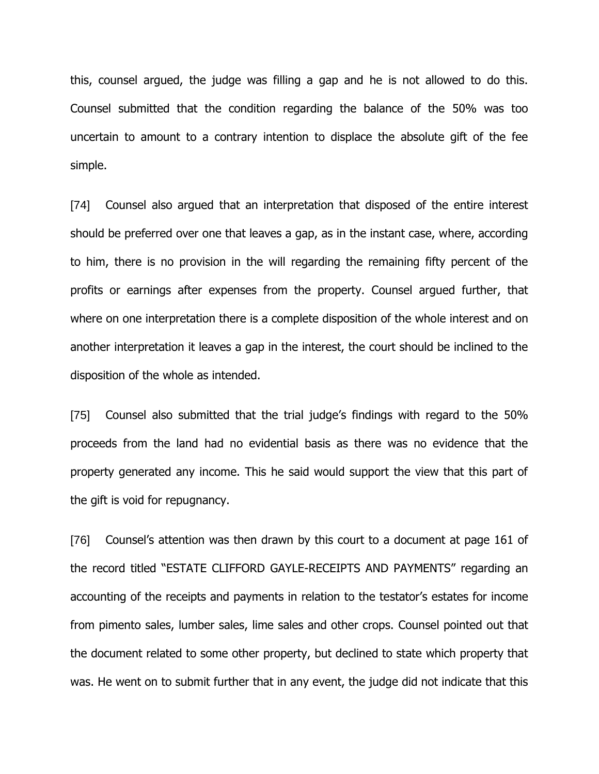this, counsel argued, the judge was filling a gap and he is not allowed to do this. Counsel submitted that the condition regarding the balance of the 50% was too uncertain to amount to a contrary intention to displace the absolute gift of the fee simple.

[74] Counsel also argued that an interpretation that disposed of the entire interest should be preferred over one that leaves a gap, as in the instant case, where, according to him, there is no provision in the will regarding the remaining fifty percent of the profits or earnings after expenses from the property. Counsel argued further, that where on one interpretation there is a complete disposition of the whole interest and on another interpretation it leaves a gap in the interest, the court should be inclined to the disposition of the whole as intended.

[75] Counsel also submitted that the trial judge's findings with regard to the 50% proceeds from the land had no evidential basis as there was no evidence that the property generated any income. This he said would support the view that this part of the gift is void for repugnancy.

[76] Counsel's attention was then drawn by this court to a document at page 161 of the record titled "ESTATE CLIFFORD GAYLE-RECEIPTS AND PAYMENTS" regarding an accounting of the receipts and payments in relation to the testator"s estates for income from pimento sales, lumber sales, lime sales and other crops. Counsel pointed out that the document related to some other property, but declined to state which property that was. He went on to submit further that in any event, the judge did not indicate that this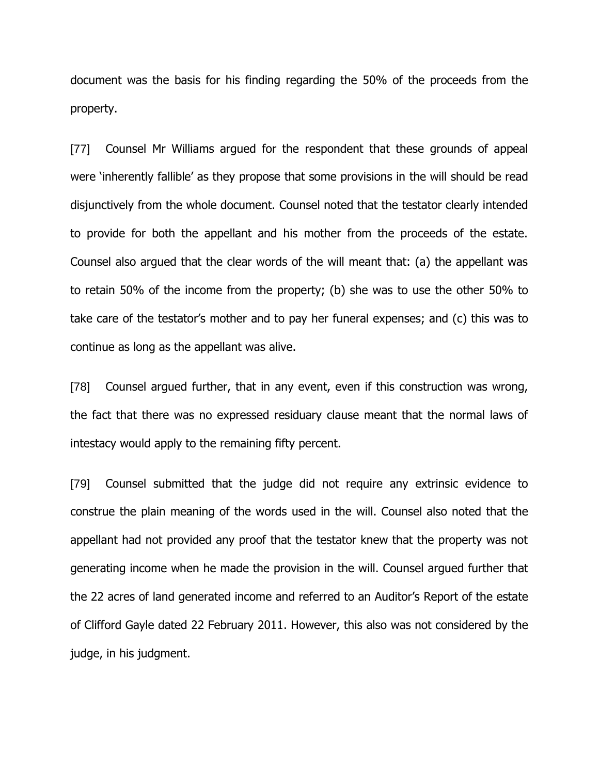document was the basis for his finding regarding the 50% of the proceeds from the property.

[77] Counsel Mr Williams argued for the respondent that these grounds of appeal were "inherently fallible" as they propose that some provisions in the will should be read disjunctively from the whole document. Counsel noted that the testator clearly intended to provide for both the appellant and his mother from the proceeds of the estate. Counsel also argued that the clear words of the will meant that: (a) the appellant was to retain 50% of the income from the property; (b) she was to use the other 50% to take care of the testator"s mother and to pay her funeral expenses; and (c) this was to continue as long as the appellant was alive.

[78] Counsel argued further, that in any event, even if this construction was wrong, the fact that there was no expressed residuary clause meant that the normal laws of intestacy would apply to the remaining fifty percent.

[79] Counsel submitted that the judge did not require any extrinsic evidence to construe the plain meaning of the words used in the will. Counsel also noted that the appellant had not provided any proof that the testator knew that the property was not generating income when he made the provision in the will. Counsel argued further that the 22 acres of land generated income and referred to an Auditor"s Report of the estate of Clifford Gayle dated 22 February 2011. However, this also was not considered by the judge, in his judgment.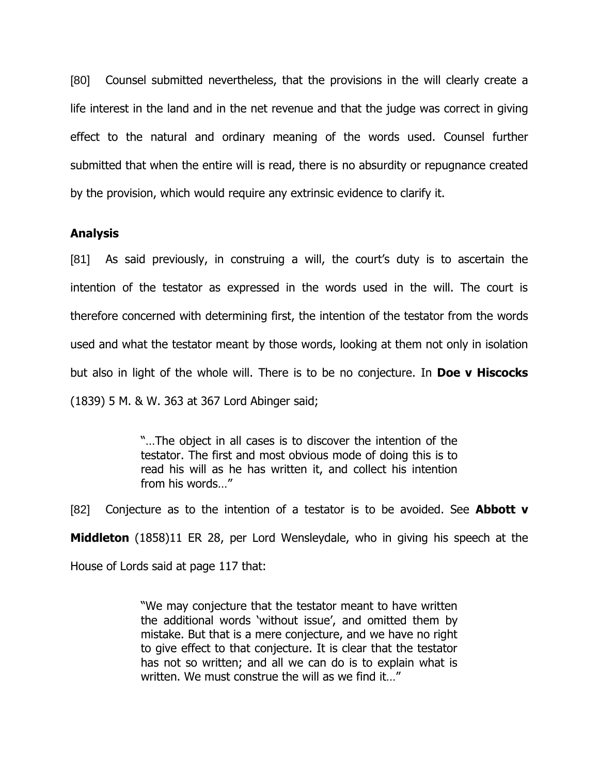[80] Counsel submitted nevertheless, that the provisions in the will clearly create a life interest in the land and in the net revenue and that the judge was correct in giving effect to the natural and ordinary meaning of the words used. Counsel further submitted that when the entire will is read, there is no absurdity or repugnance created by the provision, which would require any extrinsic evidence to clarify it.

### **Analysis**

[81] As said previously, in construing a will, the court's duty is to ascertain the intention of the testator as expressed in the words used in the will. The court is therefore concerned with determining first, the intention of the testator from the words used and what the testator meant by those words, looking at them not only in isolation but also in light of the whole will. There is to be no conjecture. In **Doe v Hiscocks** (1839) 5 M. & W. 363 at 367 Lord Abinger said;

> "…The object in all cases is to discover the intention of the testator. The first and most obvious mode of doing this is to read his will as he has written it, and collect his intention from his words…"

[82] Conjecture as to the intention of a testator is to be avoided. See **Abbott v Middleton** (1858)11 ER 28, per Lord Wensleydale, who in giving his speech at the House of Lords said at page 117 that:

> "We may conjecture that the testator meant to have written the additional words "without issue", and omitted them by mistake. But that is a mere conjecture, and we have no right to give effect to that conjecture. It is clear that the testator has not so written; and all we can do is to explain what is written. We must construe the will as we find it…"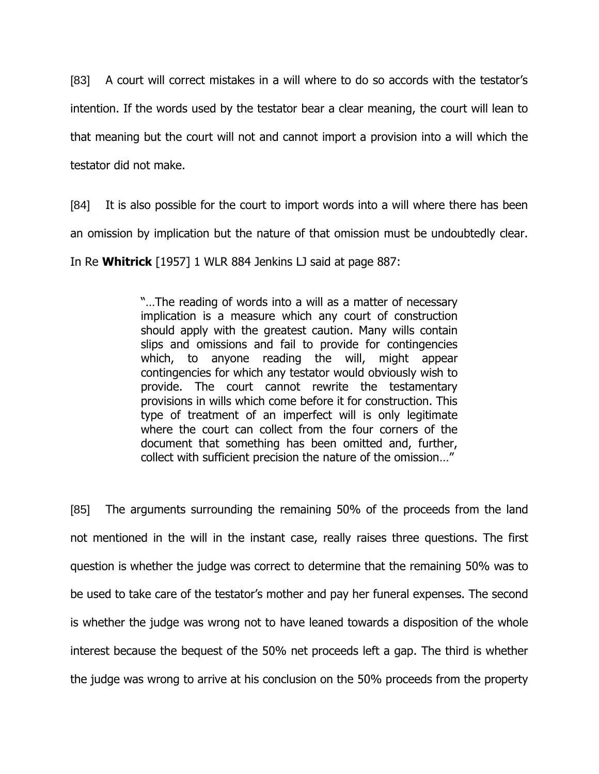[83] A court will correct mistakes in a will where to do so accords with the testator's intention. If the words used by the testator bear a clear meaning, the court will lean to that meaning but the court will not and cannot import a provision into a will which the testator did not make.

[84] It is also possible for the court to import words into a will where there has been an omission by implication but the nature of that omission must be undoubtedly clear.

In Re **Whitrick** [1957] 1 WLR 884 Jenkins LJ said at page 887:

"…The reading of words into a will as a matter of necessary implication is a measure which any court of construction should apply with the greatest caution. Many wills contain slips and omissions and fail to provide for contingencies which, to anyone reading the will, might appear contingencies for which any testator would obviously wish to provide. The court cannot rewrite the testamentary provisions in wills which come before it for construction. This type of treatment of an imperfect will is only legitimate where the court can collect from the four corners of the document that something has been omitted and, further, collect with sufficient precision the nature of the omission…"

[85] The arguments surrounding the remaining 50% of the proceeds from the land not mentioned in the will in the instant case, really raises three questions. The first question is whether the judge was correct to determine that the remaining 50% was to be used to take care of the testator"s mother and pay her funeral expenses. The second is whether the judge was wrong not to have leaned towards a disposition of the whole interest because the bequest of the 50% net proceeds left a gap. The third is whether the judge was wrong to arrive at his conclusion on the 50% proceeds from the property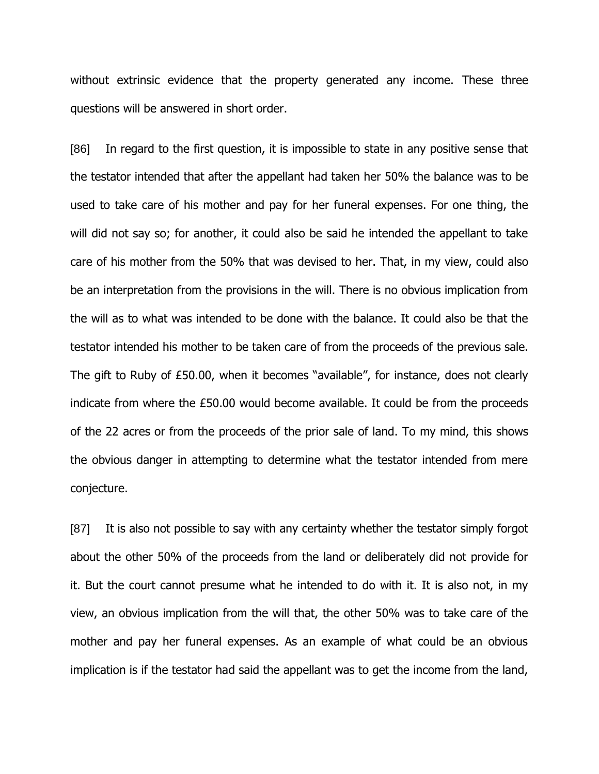without extrinsic evidence that the property generated any income. These three questions will be answered in short order.

[86] In regard to the first question, it is impossible to state in any positive sense that the testator intended that after the appellant had taken her 50% the balance was to be used to take care of his mother and pay for her funeral expenses. For one thing, the will did not say so; for another, it could also be said he intended the appellant to take care of his mother from the 50% that was devised to her. That, in my view, could also be an interpretation from the provisions in the will. There is no obvious implication from the will as to what was intended to be done with the balance. It could also be that the testator intended his mother to be taken care of from the proceeds of the previous sale. The gift to Ruby of £50.00, when it becomes "available", for instance, does not clearly indicate from where the £50.00 would become available. It could be from the proceeds of the 22 acres or from the proceeds of the prior sale of land. To my mind, this shows the obvious danger in attempting to determine what the testator intended from mere conjecture.

[87] It is also not possible to say with any certainty whether the testator simply forgot about the other 50% of the proceeds from the land or deliberately did not provide for it. But the court cannot presume what he intended to do with it. It is also not, in my view, an obvious implication from the will that, the other 50% was to take care of the mother and pay her funeral expenses. As an example of what could be an obvious implication is if the testator had said the appellant was to get the income from the land,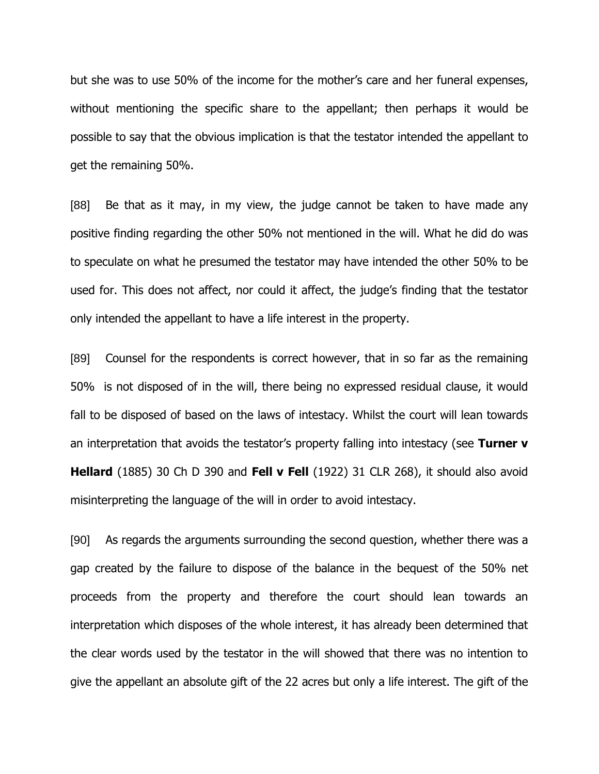but she was to use 50% of the income for the mother"s care and her funeral expenses, without mentioning the specific share to the appellant; then perhaps it would be possible to say that the obvious implication is that the testator intended the appellant to get the remaining 50%.

[88] Be that as it may, in my view, the judge cannot be taken to have made any positive finding regarding the other 50% not mentioned in the will. What he did do was to speculate on what he presumed the testator may have intended the other 50% to be used for. This does not affect, nor could it affect, the judge"s finding that the testator only intended the appellant to have a life interest in the property.

[89] Counsel for the respondents is correct however, that in so far as the remaining 50% is not disposed of in the will, there being no expressed residual clause, it would fall to be disposed of based on the laws of intestacy. Whilst the court will lean towards an interpretation that avoids the testator's property falling into intestacy (see Turner v **Hellard** (1885) 30 Ch D 390 and **Fell v Fell** (1922) 31 CLR 268), it should also avoid misinterpreting the language of the will in order to avoid intestacy.

[90] As regards the arguments surrounding the second question, whether there was a gap created by the failure to dispose of the balance in the bequest of the 50% net proceeds from the property and therefore the court should lean towards an interpretation which disposes of the whole interest, it has already been determined that the clear words used by the testator in the will showed that there was no intention to give the appellant an absolute gift of the 22 acres but only a life interest. The gift of the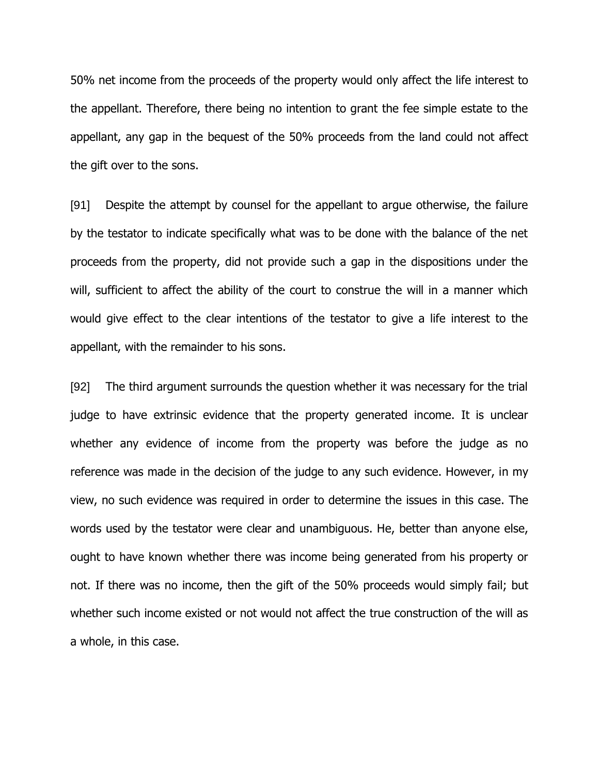50% net income from the proceeds of the property would only affect the life interest to the appellant. Therefore, there being no intention to grant the fee simple estate to the appellant, any gap in the bequest of the 50% proceeds from the land could not affect the gift over to the sons.

[91] Despite the attempt by counsel for the appellant to argue otherwise, the failure by the testator to indicate specifically what was to be done with the balance of the net proceeds from the property, did not provide such a gap in the dispositions under the will, sufficient to affect the ability of the court to construe the will in a manner which would give effect to the clear intentions of the testator to give a life interest to the appellant, with the remainder to his sons.

[92] The third argument surrounds the question whether it was necessary for the trial judge to have extrinsic evidence that the property generated income. It is unclear whether any evidence of income from the property was before the judge as no reference was made in the decision of the judge to any such evidence. However, in my view, no such evidence was required in order to determine the issues in this case. The words used by the testator were clear and unambiguous. He, better than anyone else, ought to have known whether there was income being generated from his property or not. If there was no income, then the gift of the 50% proceeds would simply fail; but whether such income existed or not would not affect the true construction of the will as a whole, in this case.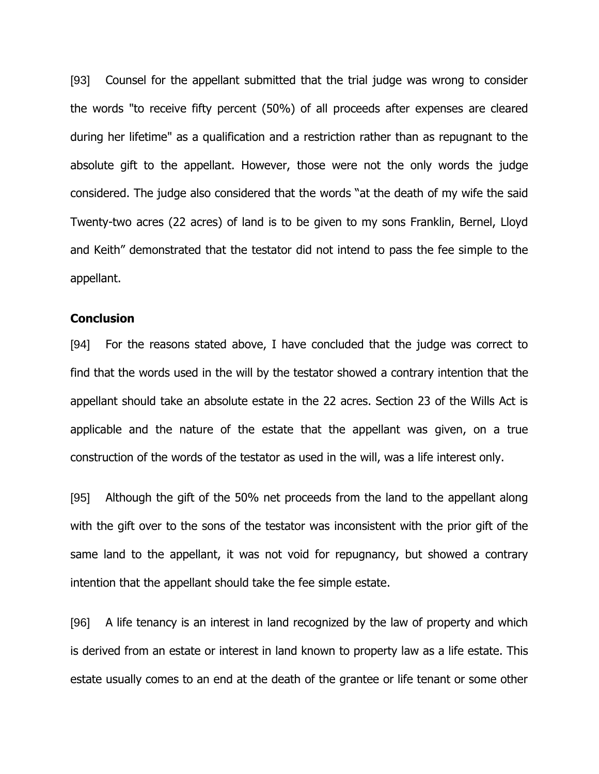[93] Counsel for the appellant submitted that the trial judge was wrong to consider the words "to receive fifty percent (50%) of all proceeds after expenses are cleared during her lifetime" as a qualification and a restriction rather than as repugnant to the absolute gift to the appellant. However, those were not the only words the judge considered. The judge also considered that the words "at the death of my wife the said Twenty-two acres (22 acres) of land is to be given to my sons Franklin, Bernel, Lloyd and Keith" demonstrated that the testator did not intend to pass the fee simple to the appellant.

#### **Conclusion**

[94] For the reasons stated above, I have concluded that the judge was correct to find that the words used in the will by the testator showed a contrary intention that the appellant should take an absolute estate in the 22 acres. Section 23 of the Wills Act is applicable and the nature of the estate that the appellant was given, on a true construction of the words of the testator as used in the will, was a life interest only.

[95] Although the gift of the 50% net proceeds from the land to the appellant along with the gift over to the sons of the testator was inconsistent with the prior gift of the same land to the appellant, it was not void for repugnancy, but showed a contrary intention that the appellant should take the fee simple estate.

[96] A life tenancy is an interest in land recognized by the law of property and which is derived from an estate or interest in land known to property law as a life estate. This estate usually comes to an end at the death of the grantee or life tenant or some other